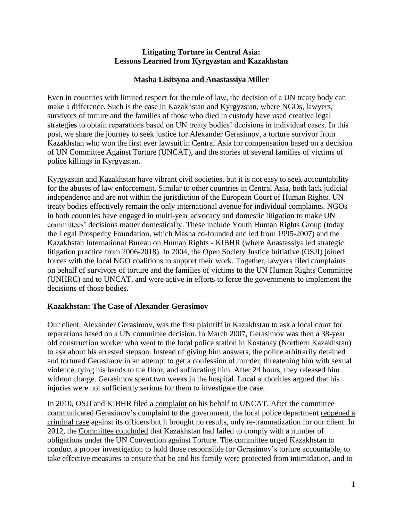### **Litigating Torture in Central Asia: Lessons Learned from Kyrgyzstan and Kazakhstan**

## **Masha Lisitsyna and Anastassiya Miller**

Even in countries with limited respect for the rule of law, the decision of a UN treaty body can make a difference. Such is the case in Kazakhstan and Kyrgyzstan, where NGOs, lawyers, survivors of torture and the families of those who died in custody have used creative legal strategies to obtain reparations based on UN treaty bodies' decisions in individual cases. In this post, we share the journey to seek justice for Alexander Gerasimov, a torture survivor from Kazakhstan who won the first ever lawsuit in Central Asia for compensation based on a decision of UN Committee Against Torture (UNCAT), and the stories of several families of victims of police killings in Kyrgyzstan.

Kyrgyzstan and Kazakhstan have vibrant civil societies, but it is not easy to seek accountability for the abuses of law enforcement. Similar to other countries in Central Asia, both lack judicial independence and are not within the jurisdiction of the European Court of Human Rights. UN treaty bodies effectively remain the only international avenue for individual complaints. NGOs in both countries have engaged in multi-year advocacy and domestic litigation to make UN committees' decisions matter domestically. These include Youth Human Rights Group (today the Legal Prosperity Foundation, which Masha co-founded and led from 1995-2007) and the Kazakhstan International Bureau on Human Rights - KIBHR (where Anastassiya led strategic litigation practice from 2006-2018). In 2004, the Open Society Justice Initiative (OSJI) joined forces with the local NGO coalitions to support their work. Together, lawyers filed complaints on behalf of survivors of torture and the families of victims to the UN Human Rights Committee (UNHRC) and to UNCAT, and were active in efforts to force the governments to implement the decisions of those bodies.

# **Kazakhstan: The Case of Alexander Gerasimov**

Our client, [Alexander Gerasimov,](https://www.justiceinitiative.org/litigation/gerasimov-v-kazakhstan) was the first plaintiff in Kazakhstan to ask a local court for reparations based on a UN committee decision. In March 2007, Gerasimov was then a 38-year old construction worker who went to the local police station in Kostanay (Northern Kazakhstan) to ask about his arrested stepson. Instead of giving him answers, the police arbitrarily detained and tortured Gerasimov in an attempt to get a confession of murder, threatening him with sexual violence, tying his hands to the floor, and suffocating him. After 24 hours, they released him without charge. Gerasimov spent two weeks in the hospital. Local authorities argued that his injuries were not sufficiently serious for them to investigate the case.

In 2010, OSJI and KIBHR filed a [complaint](https://www.justiceinitiative.org/uploads/96d61ae9-840f-4414-96a9-92976ef3048a/gerasimov-communication-20100422-v2.pdf) on his behalf to UNCAT. After the committee communicated Gerasimov's complaint to the government, the local police department [reopened a](https://www.justiceinitiative.org/uploads/1d85271c-ce1e-4abe-bc30-71a4dbbff959/uncat-gerasimov-consolidated-comments-20110715.pdf)  [criminal case](https://www.justiceinitiative.org/uploads/1d85271c-ce1e-4abe-bc30-71a4dbbff959/uncat-gerasimov-consolidated-comments-20110715.pdf) against its officers but it brought no results, only re-traumatization for our client. In 2012, the [Committee concluded](https://www.justiceinitiative.org/uploads/ccd228bc-b9fd-4021-8b46-696f1f24a524/gerasimov-cat-decision-20120726.pdf) that Kazakhstan had failed to comply with a number of obligations under the UN Convention against Torture. The committee urged Kazakhstan to conduct a proper investigation to hold those responsible for Gerasimov's torture accountable, to take effective measures to ensure that he and his family were protected from intimidation, and to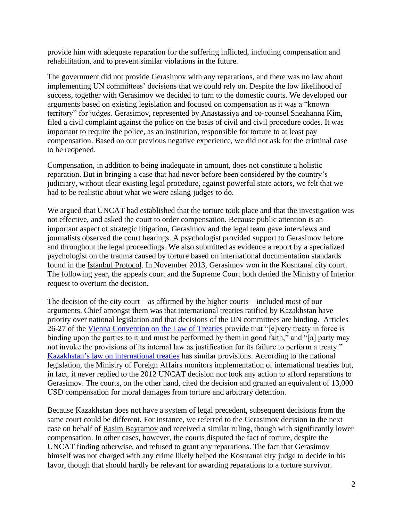provide him with adequate reparation for the suffering inflicted, including compensation and rehabilitation, and to prevent similar violations in the future.

The government did not provide Gerasimov with any reparations, and there was no law about implementing UN committees' decisions that we could rely on. Despite the low likelihood of success, together with Gerasimov we decided to turn to the domestic courts. We developed our arguments based on existing legislation and focused on compensation as it was a "known territory" for judges. Gerasimov, represented by Anastassiya and co-counsel Snezhanna Kim, filed a civil complaint against the police on the basis of civil and civil procedure codes. It was important to require the police, as an institution, responsible for torture to at least pay compensation. Based on our previous negative experience, we did not ask for the criminal case to be reopened.

Compensation, in addition to being inadequate in amount, does not constitute a holistic reparation. But in bringing a case that had never before been considered by the country's judiciary, without clear existing legal procedure, against powerful state actors, we felt that we had to be realistic about what we were asking judges to do.

We argued that UNCAT had established that the torture took place and that the investigation was not effective, and asked the court to order compensation. Because public attention is an important aspect of strategic litigation, Gerasimov and the legal team gave interviews and journalists observed the court hearings. A psychologist provided support to Gerasimov before and throughout the legal proceedings. We also submitted as evidence a report by a specialized psychologist on the trauma caused by torture based on international documentation standards found in the Istanbul [Protocol.](https://www.ohchr.org/Documents/Publications/training8rev1en.pdf) In November 2013, Gerasimov won in the Kosntanai city court. The following year, the appeals court and the Supreme Court both denied the Ministry of Interior request to overturn the decision.

The decision of the city court – as affirmed by the higher courts – included most of our arguments. Chief amongst them was that international treaties ratified by Kazakhstan have priority over national legislation and that decisions of the UN committees are binding. Articles 26-27 of the [Vienna Convention on the Law of Treaties](https://legal.un.org/ilc/texts/instruments/english/conventions/1_1_1969.pdf) provide that "[e]very treaty in force is binding upon the parties to it and must be performed by them in good faith," and "[a] party may not invoke the provisions of its internal law as justification for its failure to perform a treaty." Kazakhstan's [law on international treaties](http://adilet.zan.kz/eng/docs/Z050000054_) has similar provisions. According to the national legislation, the Ministry of Foreign Affairs monitors implementation of international treaties but, in fact, it never replied to the 2012 UNCAT decision nor took any action to afford reparations to Gerasimov. The courts, on the other hand, cited the decision and granted an equivalent of 13,000 USD compensation for moral damages from torture and arbitrary detention.

Because Kazakhstan does not have a system of legal precedent, subsequent decisions from the same court could be different. For instance, we referred to the Gerasimov decision in the next case on behalf of [Rasim Bayramov](https://juris.ohchr.org/Search/Details/1838) and received a similar ruling, though with significantly lower compensation. In other cases, however, the courts disputed the fact of torture, despite the UNCAT finding otherwise, and refused to grant any reparations. The fact that Gerasimov himself was not charged with any crime likely helped the Kosntanai city judge to decide in his favor, though that should hardly be relevant for awarding reparations to a torture survivor.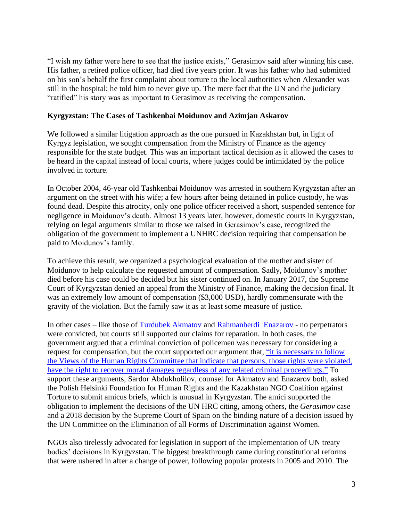"I wish my father were here to see that the justice exists," Gerasimov said after winning his case. His father, a retired police officer, had died five years prior. It was his father who had submitted on his son's behalf the first complaint about torture to the local authorities when Alexander was still in the hospital; he told him to never give up. The mere fact that the UN and the judiciary "ratified" his story was as important to Gerasimov as receiving the compensation.

### **Kyrgyzstan: The Cases of Tashkenbai Moidunov and Azimjan Askarov**

We followed a similar litigation approach as the one pursued in Kazakhstan but, in light of Kyrgyz legislation, we sought compensation from the Ministry of Finance as the agency responsible for the state budget. This was an important tactical decision as it allowed the cases to be heard in the capital instead of local courts, where judges could be intimidated by the police involved in torture.

In October 2004, 46-year old [Tashkenbai Moidunov](https://www.justiceinitiative.org/litigation/moidunov-v-kyrgyzstan) was arrested in southern Kyrgyzstan after an argument on the street with his wife; a few hours after being detained in police custody, he was found dead. Despite this atrocity, only one police officer received a short, suspended sentence for negligence in Moidunov's death. Almost 13 years later, however, domestic courts in Kyrgyzstan, relying on legal arguments similar to those we raised in Gerasimov's case, recognized the obligation of the government to implement a UNHRC decision requiring that compensation be paid to Moidunov's family.

To achieve this result, we organized a psychological evaluation of the mother and sister of Moidunov to help calculate the requested amount of compensation. Sadly, Moidunov's mother died before his case could be decided but his sister continued on. In January 2017, the Supreme Court of Kyrgyzstan denied an appeal from the Ministry of Finance, making the decision final. It was an extremely low amount of compensation (\$3,000 USD), hardly commensurate with the gravity of the violation. But the family saw it as at least some measure of justice.

In other cases – like those of [Turdubek Akmatov](https://www.justiceinitiative.org/litigation/akmatov-v-kyrgyzstan) and [Rahmanberdi Enazarov](https://www.justiceinitiative.org/litigation/ernazarov-v-kyrgyzstan) - no perpetrators were convicted, but courts still supported our claims for reparation. In both cases, the government argued that a criminal conviction of policemen was necessary for considering a request for compensation, but the court supported our argument that, ["it is necessary to follow](https://www.justiceinitiative.org/uploads/8f72c722-515e-47f5-abf9-5f1285f8ce06/akmatov-district-court-decision-eng-20181018.pdf)  the Views [of the Human Rights Committee that indicate that persons, those rights were violated,](https://www.justiceinitiative.org/uploads/8f72c722-515e-47f5-abf9-5f1285f8ce06/akmatov-district-court-decision-eng-20181018.pdf)  [have the right to recover moral damages regardless of any related criminal proceedings."](https://www.justiceinitiative.org/uploads/8f72c722-515e-47f5-abf9-5f1285f8ce06/akmatov-district-court-decision-eng-20181018.pdf) To support these arguments, Sardor Abdukholilov, counsel for Akmatov and Enazarov both, asked the Polish Helsinki Foundation for Human Rights and the Kazakhstan NGO Coalition against Torture to submit amicus briefs, which is unusual in Kyrgyzstan. The amici supported the obligation to implement the decisions of the UN HRC citing, among others, the *Gerasimov* case and a 2018 [decision](https://www.womenslinkworldwide.org/files/3045/sentencia-angela-tribunal-supremo.pdf) by the Supreme Court of Spain on the binding nature of a decision issued by the UN Committee on the Elimination of all Forms of Discrimination against Women.

NGOs also tirelessly advocated for legislation in support of the implementation of UN treaty bodies' decisions in Kyrgyzstan. The biggest breakthrough came during constitutional reforms that were ushered in after a change of power, following popular protests in 2005 and 2010. The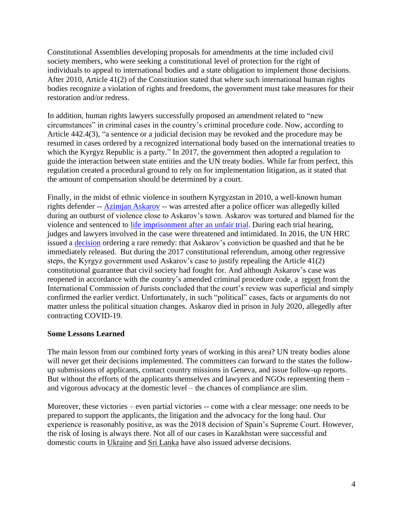Constitutional Assemblies developing proposals for amendments at the time included civil society members, who were seeking a constitutional level of protection for the right of individuals to appeal to international bodies and a state obligation to implement those decisions. After 2010, Article 41(2) of the Constitution stated that where such international human rights bodies recognize a violation of rights and freedoms, the government must take measures for their restoration and/or redress.

In addition, human rights lawyers successfully proposed an amendment related to "new circumstances" in criminal cases in the country's criminal procedure code. Now, according to Article 442.4(3), "a sentence or a judicial decision may be revoked and the procedure may be resumed in cases ordered by a recognized international body based on the international treaties to which the Kyrgyz Republic is a party." In 2017, the government then adopted a regulation to guide the interaction between state entities and the UN treaty bodies. While far from perfect, this regulation created a procedural ground to rely on for implementation litigation, as it stated that the amount of compensation should be determined by a court.

Finally, in the midst of ethnic violence in southern Kyrgyzstan in 2010, a well-known human rights defender -- [Azimjan Askarov](https://www.justiceinitiative.org/litigation/askarov-v-kyrgyzstan) -- was arrested after a police officer was allegedly killed during an outburst of violence close to Askarov's town. Askarov was tortured and blamed for the violence and sentenced to [life imprisonment after an unfair trial.](https://www.hrw.org/news/2018/12/06/joint-letter-eu-detention-azimjon-askarov-kyrgyzstan) During each trial hearing, judges and lawyers involved in the case were threatened and intimidated. In 2016, the UN HRC issued a [decision](https://www.justiceinitiative.org/uploads/5bc1edaa-acb3-4b61-bfd1-45adf4bcc5e2/Askarov-HRC-decision-ENG.pdf) ordering a rare remedy: that Askarov's conviction be quashed and that he be immediately released. But during the 2017 constitutional referendum, among other regressive steps, the Kyrgyz government used Askarov's case to justify repealing the Article 41(2) constitutional guarantee that civil society had fought for. And although Askarov's case was reopened in accordance with the country's amended criminal procedure code, a [report](https://www.icj.org/kyrgyz-republic-icj-legal-opinion-on-askarov-retrial-concludes-his-conviction-should-be-quashed/) from the International Commission of Jurists concluded that the court's review was superficial and simply confirmed the earlier verdict. Unfortunately, in such "political" cases, facts or arguments do not matter unless the political situation changes. Askarov died in prison in July 2020, allegedly after contracting COVID-19.

### **Some Lessons Learned**

The main lesson from our combined forty years of working in this area? UN treaty bodies alone will never get their decisions implemented. The committees can forward to the states the followup submissions of applicants, contact country missions in Geneva, and issue follow-up reports. But without the efforts of the applicants themselves and lawyers and NGOs representing them and vigorous advocacy at the domestic level – the chances of compliance are slim.

Moreover, these victories – even partial victories -- come with a clear message: one needs to be prepared to support the applicants, the litigation and the advocacy for the long haul. Our experience is reasonably positive, as was the 2018 decision of Spain's Supreme Court. However, the risk of losing is always there. Not all of our cases in Kazakhstan were successful and domestic courts in [Ukraine](https://helsinki.org.ua/en/articles/how-are-decisions-of-uno-committees-executed-in-ukraine-4/) and [Sri Lanka](https://www.fidh.org/en/region/asia/sri-lanka/Sri-Lanka-s-Supreme-Court-decision) have also issued adverse decisions.